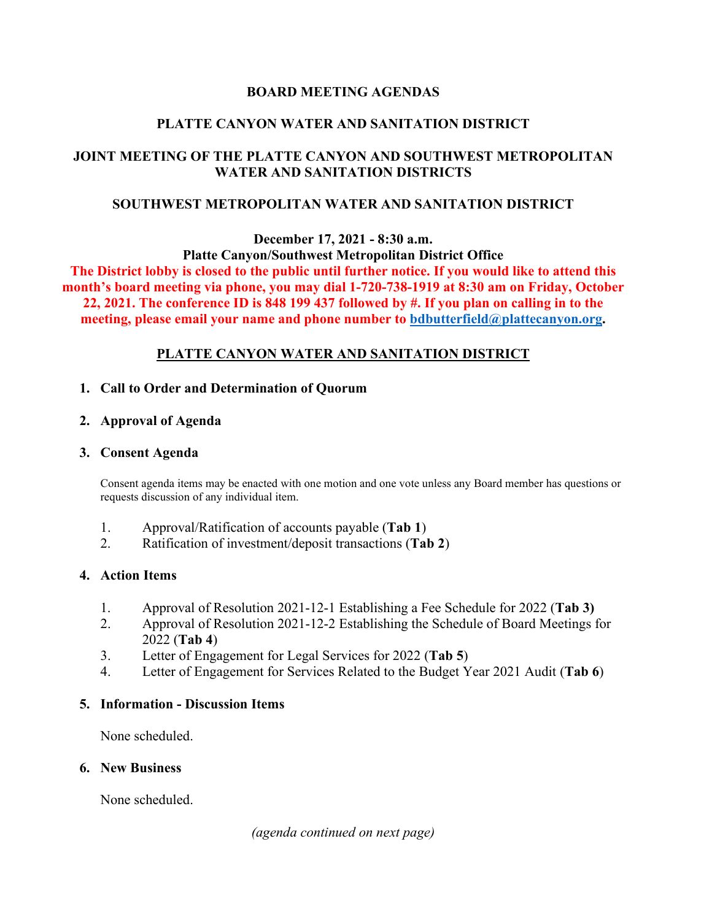### **BOARD MEETING AGENDAS**

### **PLATTE CANYON WATER AND SANITATION DISTRICT**

# **JOINT MEETING OF THE PLATTE CANYON AND SOUTHWEST METROPOLITAN WATER AND SANITATION DISTRICTS**

### **SOUTHWEST METROPOLITAN WATER AND SANITATION DISTRICT**

### **December 17, 2021 - 8:30 a.m. Platte Canyon/Southwest Metropolitan District Office**

**The District lobby is closed to the public until further notice. If you would like to attend this month's board meeting via phone, you may dial 1-720-738-1919 at 8:30 am on Friday, October 22, 2021. The conference ID is 848 199 437 followed by #. If you plan on calling in to the meeting, please email your name and phone number to [bdbutterfield@plattecanyon.org.](mailto:bdbutterfield@plattecanyon.org)**

# **PLATTE CANYON WATER AND SANITATION DISTRICT**

### **1. Call to Order and Determination of Quorum**

#### **2. Approval of Agenda**

#### **3. Consent Agenda**

Consent agenda items may be enacted with one motion and one vote unless any Board member has questions or requests discussion of any individual item.

- 1. Approval/Ratification of accounts payable (**Tab 1**)
- 2. Ratification of investment/deposit transactions (**Tab 2**)

### **4. Action Items**

- 1. Approval of Resolution 2021-12-1 Establishing a Fee Schedule for 2022 (**Tab 3)**
- 2. Approval of Resolution 2021-12-2 Establishing the Schedule of Board Meetings for 2022 (**Tab 4**)
- 3. Letter of Engagement for Legal Services for 2022 (**Tab 5**)
- 4. Letter of Engagement for Services Related to the Budget Year 2021 Audit (**Tab 6**)

### **5. Information - Discussion Items**

None scheduled.

#### **6. New Business**

None scheduled.

*(agenda continued on next page)*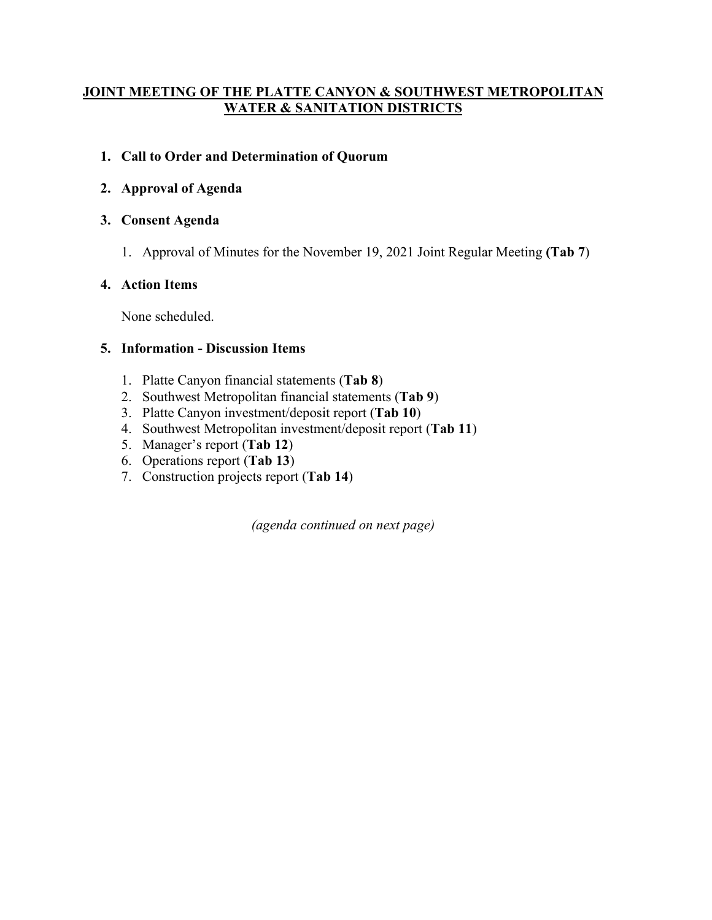# **JOINT MEETING OF THE PLATTE CANYON & SOUTHWEST METROPOLITAN WATER & SANITATION DISTRICTS**

# **1. Call to Order and Determination of Quorum**

# **2. Approval of Agenda**

# **3. Consent Agenda**

1. Approval of Minutes for the November 19, 2021 Joint Regular Meeting **(Tab 7**)

# **4. Action Items**

None scheduled.

# **5. Information - Discussion Items**

- 1. Platte Canyon financial statements (**Tab 8**)
- 2. Southwest Metropolitan financial statements (**Tab 9**)
- 3. Platte Canyon investment/deposit report (**Tab 10**)
- 4. Southwest Metropolitan investment/deposit report (**Tab 11**)
- 5. Manager's report (**Tab 12**)
- 6. Operations report (**Tab 13**)
- 7. Construction projects report (**Tab 14**)

*(agenda continued on next page)*